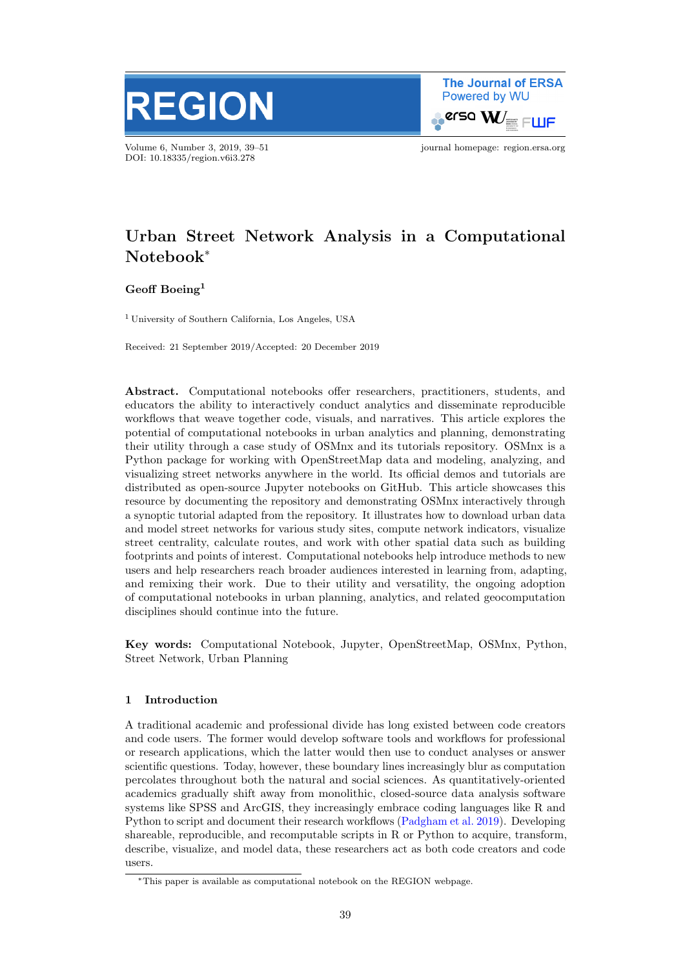

Volume 6, Number 3, 2019, 39–51 journal homepage: region.ersa.org DOI: 10.18335/region.v6i3.278

**The Journal of ERSA** Powered by WU  $\bullet$ erso W $_{\equiv \; \sqsubset \sqcup \mathsf{F}}$ 

# Urban Street Network Analysis in a Computational Notebook<sup>∗</sup>

Geoff Boeing<sup>1</sup>

<sup>1</sup> University of Southern California, Los Angeles, USA

Received: 21 September 2019/Accepted: 20 December 2019

Abstract. Computational notebooks offer researchers, practitioners, students, and educators the ability to interactively conduct analytics and disseminate reproducible workflows that weave together code, visuals, and narratives. This article explores the potential of computational notebooks in urban analytics and planning, demonstrating their utility through a case study of OSMnx and its tutorials repository. OSMnx is a Python package for working with OpenStreetMap data and modeling, analyzing, and visualizing street networks anywhere in the world. Its official demos and tutorials are distributed as open-source Jupyter notebooks on GitHub. This article showcases this resource by documenting the repository and demonstrating OSMnx interactively through a synoptic tutorial adapted from the repository. It illustrates how to download urban data and model street networks for various study sites, compute network indicators, visualize street centrality, calculate routes, and work with other spatial data such as building footprints and points of interest. Computational notebooks help introduce methods to new users and help researchers reach broader audiences interested in learning from, adapting, and remixing their work. Due to their utility and versatility, the ongoing adoption of computational notebooks in urban planning, analytics, and related geocomputation disciplines should continue into the future.

Key words: Computational Notebook, Jupyter, OpenStreetMap, OSMnx, Python, Street Network, Urban Planning

## 1 Introduction

A traditional academic and professional divide has long existed between code creators and code users. The former would develop software tools and workflows for professional or research applications, which the latter would then use to conduct analyses or answer scientific questions. Today, however, these boundary lines increasingly blur as computation percolates throughout both the natural and social sciences. As quantitatively-oriented academics gradually shift away from monolithic, closed-source data analysis software systems like SPSS and ArcGIS, they increasingly embrace coding languages like R and Python to script and document their research workflows [\(Padgham et al.](#page-11-0) [2019\)](#page-11-0). Developing shareable, reproducible, and recomputable scripts in R or Python to acquire, transform, describe, visualize, and model data, these researchers act as both code creators and code users.

<sup>∗</sup>This paper is available as computational notebook on the REGION webpage.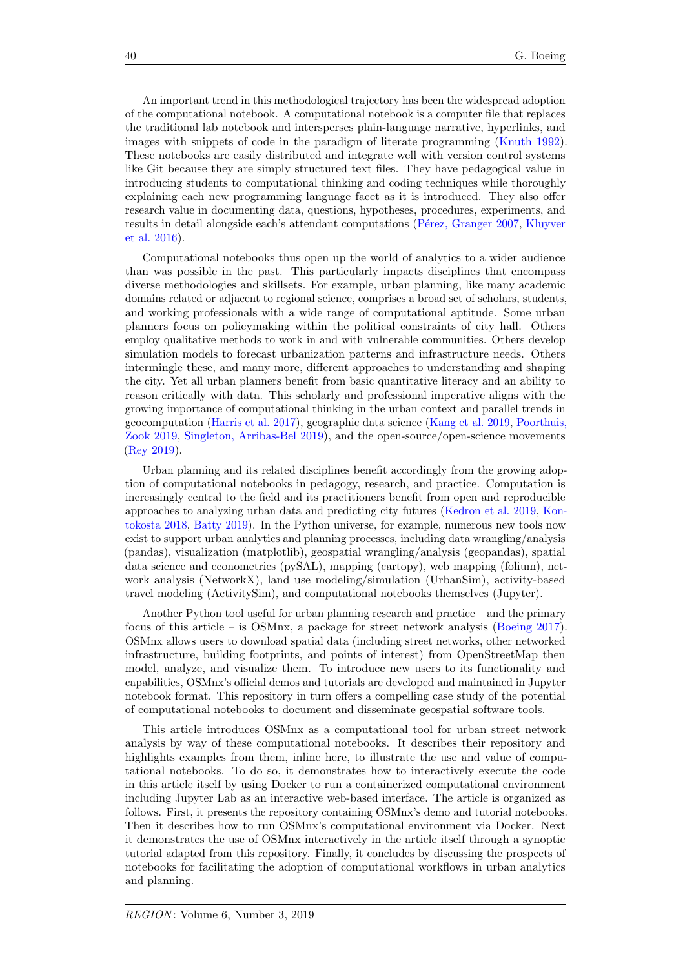An important trend in this methodological trajectory has been the widespread adoption of the computational notebook. A computational notebook is a computer file that replaces the traditional lab notebook and intersperses plain-language narrative, hyperlinks, and images with snippets of code in the paradigm of literate programming [\(Knuth](#page-11-1) [1992\)](#page-11-1). These notebooks are easily distributed and integrate well with version control systems like Git because they are simply structured text files. They have pedagogical value in introducing students to computational thinking and coding techniques while thoroughly explaining each new programming language facet as it is introduced. They also offer research value in documenting data, questions, hypotheses, procedures, experiments, and results in detail alongside each's attendant computations (Pérez, Granger [2007,](#page-11-2) [Kluyver](#page-11-3) [et al.](#page-11-3) [2016\)](#page-11-3).

Computational notebooks thus open up the world of analytics to a wider audience than was possible in the past. This particularly impacts disciplines that encompass diverse methodologies and skillsets. For example, urban planning, like many academic domains related or adjacent to regional science, comprises a broad set of scholars, students, and working professionals with a wide range of computational aptitude. Some urban planners focus on policymaking within the political constraints of city hall. Others employ qualitative methods to work in and with vulnerable communities. Others develop simulation models to forecast urbanization patterns and infrastructure needs. Others intermingle these, and many more, different approaches to understanding and shaping the city. Yet all urban planners benefit from basic quantitative literacy and an ability to reason critically with data. This scholarly and professional imperative aligns with the growing importance of computational thinking in the urban context and parallel trends in geocomputation [\(Harris et al.](#page-11-4) [2017\)](#page-11-4), geographic data science [\(Kang et al.](#page-11-5) [2019,](#page-11-5) [Poorthuis,](#page-11-6) [Zook](#page-11-6) [2019,](#page-11-6) [Singleton, Arribas-Bel](#page-11-7) [2019\)](#page-11-7), and the open-source/open-science movements [\(Rey](#page-11-8) [2019\)](#page-11-8).

Urban planning and its related disciplines benefit accordingly from the growing adoption of computational notebooks in pedagogy, research, and practice. Computation is increasingly central to the field and its practitioners benefit from open and reproducible approaches to analyzing urban data and predicting city futures [\(Kedron et al.](#page-11-9) [2019,](#page-11-9) [Kon](#page-11-10)[tokosta](#page-11-10) [2018,](#page-11-10) [Batty](#page-11-11) [2019\)](#page-11-11). In the Python universe, for example, numerous new tools now exist to support urban analytics and planning processes, including data wrangling/analysis (pandas), visualization (matplotlib), geospatial wrangling/analysis (geopandas), spatial data science and econometrics (pySAL), mapping (cartopy), web mapping (folium), network analysis (NetworkX), land use modeling/simulation (UrbanSim), activity-based travel modeling (ActivitySim), and computational notebooks themselves (Jupyter).

Another Python tool useful for urban planning research and practice – and the primary focus of this article – is OSMnx, a package for street network analysis [\(Boeing](#page-11-12) [2017\)](#page-11-12). OSMnx allows users to download spatial data (including street networks, other networked infrastructure, building footprints, and points of interest) from OpenStreetMap then model, analyze, and visualize them. To introduce new users to its functionality and capabilities, OSMnx's official demos and tutorials are developed and maintained in Jupyter notebook format. This repository in turn offers a compelling case study of the potential of computational notebooks to document and disseminate geospatial software tools.

This article introduces OSMnx as a computational tool for urban street network analysis by way of these computational notebooks. It describes their repository and highlights examples from them, inline here, to illustrate the use and value of computational notebooks. To do so, it demonstrates how to interactively execute the code in this article itself by using Docker to run a containerized computational environment including Jupyter Lab as an interactive web-based interface. The article is organized as follows. First, it presents the repository containing OSMnx's demo and tutorial notebooks. Then it describes how to run OSMnx's computational environment via Docker. Next it demonstrates the use of OSMnx interactively in the article itself through a synoptic tutorial adapted from this repository. Finally, it concludes by discussing the prospects of notebooks for facilitating the adoption of computational workflows in urban analytics and planning.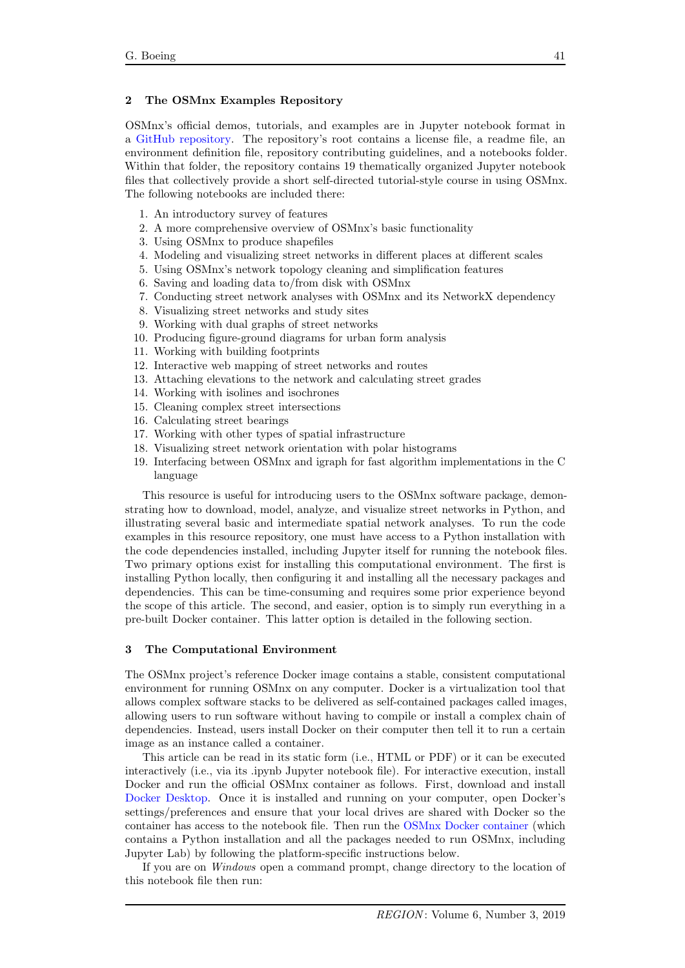## 2 The OSMnx Examples Repository

OSMnx's official demos, tutorials, and examples are in Jupyter notebook format in a [GitHub repository.](https://github.com/gboeing/osmnx-examples) The repository's root contains a license file, a readme file, an environment definition file, repository contributing guidelines, and a notebooks folder. Within that folder, the repository contains 19 thematically organized Jupyter notebook files that collectively provide a short self-directed tutorial-style course in using OSMnx. The following notebooks are included there:

- 1. An introductory survey of features
- 2. A more comprehensive overview of OSMnx's basic functionality
- 3. Using OSMnx to produce shapefiles
- 4. Modeling and visualizing street networks in different places at different scales
- 5. Using OSMnx's network topology cleaning and simplification features
- 6. Saving and loading data to/from disk with OSMnx
- 7. Conducting street network analyses with OSMnx and its NetworkX dependency
- 8. Visualizing street networks and study sites
- 9. Working with dual graphs of street networks
- 10. Producing figure-ground diagrams for urban form analysis
- 11. Working with building footprints
- 12. Interactive web mapping of street networks and routes
- 13. Attaching elevations to the network and calculating street grades
- 14. Working with isolines and isochrones
- 15. Cleaning complex street intersections
- 16. Calculating street bearings
- 17. Working with other types of spatial infrastructure
- 18. Visualizing street network orientation with polar histograms
- 19. Interfacing between OSMnx and igraph for fast algorithm implementations in the C language

This resource is useful for introducing users to the OSMnx software package, demonstrating how to download, model, analyze, and visualize street networks in Python, and illustrating several basic and intermediate spatial network analyses. To run the code examples in this resource repository, one must have access to a Python installation with the code dependencies installed, including Jupyter itself for running the notebook files. Two primary options exist for installing this computational environment. The first is installing Python locally, then configuring it and installing all the necessary packages and dependencies. This can be time-consuming and requires some prior experience beyond the scope of this article. The second, and easier, option is to simply run everything in a pre-built Docker container. This latter option is detailed in the following section.

#### 3 The Computational Environment

The OSMnx project's reference Docker image contains a stable, consistent computational environment for running OSMnx on any computer. Docker is a virtualization tool that allows complex software stacks to be delivered as self-contained packages called images, allowing users to run software without having to compile or install a complex chain of dependencies. Instead, users install Docker on their computer then tell it to run a certain image as an instance called a container.

This article can be read in its static form (i.e., HTML or PDF) or it can be executed interactively (i.e., via its .ipynb Jupyter notebook file). For interactive execution, install Docker and run the official OSMnx container as follows. First, download and install [Docker Desktop.](https://www.docker.com/products/docker-desktop) Once it is installed and running on your computer, open Docker's settings/preferences and ensure that your local drives are shared with Docker so the container has access to the notebook file. Then run the [OSMnx Docker container](https://hub.docker.com/r/gboeing/osmnx) (which contains a Python installation and all the packages needed to run OSMnx, including Jupyter Lab) by following the platform-specific instructions below.

If you are on Windows open a command prompt, change directory to the location of this notebook file then run: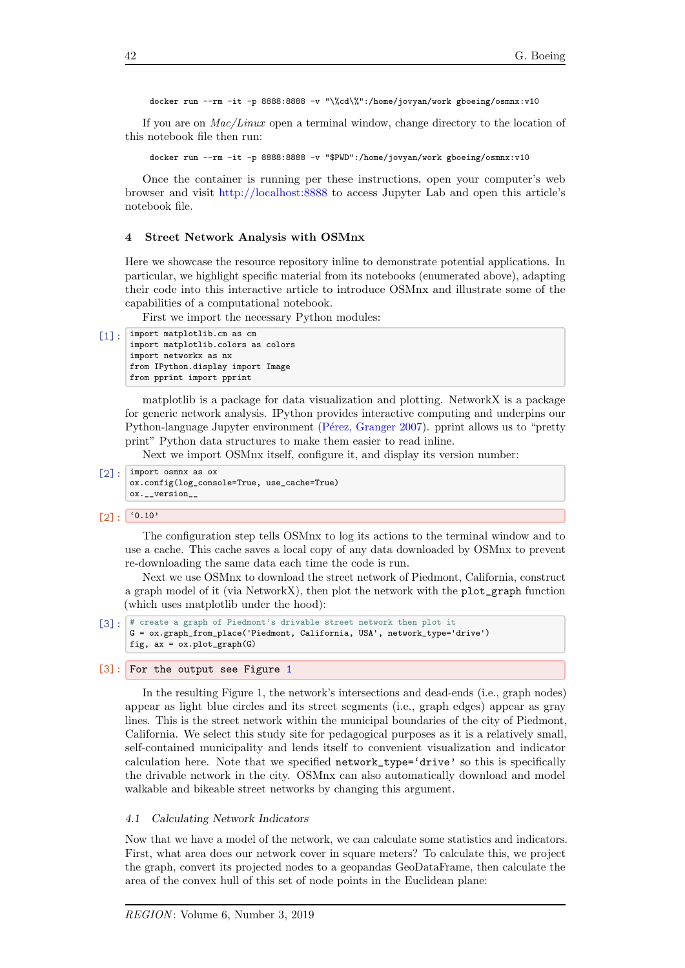docker run --rm -it -p 8888:8888 -v "\%cd\%":/home/jovyan/work gboeing/osmnx:v10

If you are on Mac/Linux open a terminal window, change directory to the location of this notebook file then run:

docker run --rm -it -p 8888:8888 -v "\$PWD":/home/jovyan/work gboeing/osmnx:v10

Once the container is running per these instructions, open your computer's web browser and visit <http://localhost:8888> to access Jupyter Lab and open this article's notebook file.

#### 4 Street Network Analysis with OSMnx

Here we showcase the resource repository inline to demonstrate potential applications. In particular, we highlight specific material from its notebooks (enumerated above), adapting their code into this interactive article to introduce OSMnx and illustrate some of the capabilities of a computational notebook.

First we import the necessary Python modules:

```
[1]: import matplotlib.cm as cm
      import matplotlib.colors as colors
      import networkx as nx
      from IPython.display import Image
      from pprint import pprint
```
matplotlib is a package for data visualization and plotting. NetworkX is a package for generic network analysis. IPython provides interactive computing and underpins our Python-language Jupyter environment (Pérez, Granger [2007\)](#page-11-2). pprint allows us to "pretty print" Python data structures to make them easier to read inline.

Next we import OSMnx itself, configure it, and display its version number:

```
[2]: import osmnx as ox
      ox.config(log_console=True, use_cache=True)
      ox.__version__
```
 $[2]$ :  $[0.10]$ 

The configuration step tells OSMnx to log its actions to the terminal window and to use a cache. This cache saves a local copy of any data downloaded by OSMnx to prevent re-downloading the same data each time the code is run.

Next we use OSMnx to download the street network of Piedmont, California, construct a graph model of it (via NetworkX), then plot the network with the plot\_graph function (which uses matplotlib under the hood):

```
[3]: # create a graph of Piedmont's drivable street network then plot it
      G = ox.graph_from_place('Piedmont, California, USA', network_type='drive')
      fig, ax = ox.plot\_graph(G)
```
#### [3]: For the output see Figure [1](#page-4-0)

In the resulting Figure [1,](#page-4-0) the network's intersections and dead-ends (i.e., graph nodes) appear as light blue circles and its street segments (i.e., graph edges) appear as gray lines. This is the street network within the municipal boundaries of the city of Piedmont, California. We select this study site for pedagogical purposes as it is a relatively small, self-contained municipality and lends itself to convenient visualization and indicator calculation here. Note that we specified network\_type='drive' so this is specifically the drivable network in the city. OSMnx can also automatically download and model walkable and bikeable street networks by changing this argument.

#### 4.1 Calculating Network Indicators

Now that we have a model of the network, we can calculate some statistics and indicators. First, what area does our network cover in square meters? To calculate this, we project the graph, convert its projected nodes to a geopandas GeoDataFrame, then calculate the area of the convex hull of this set of node points in the Euclidean plane: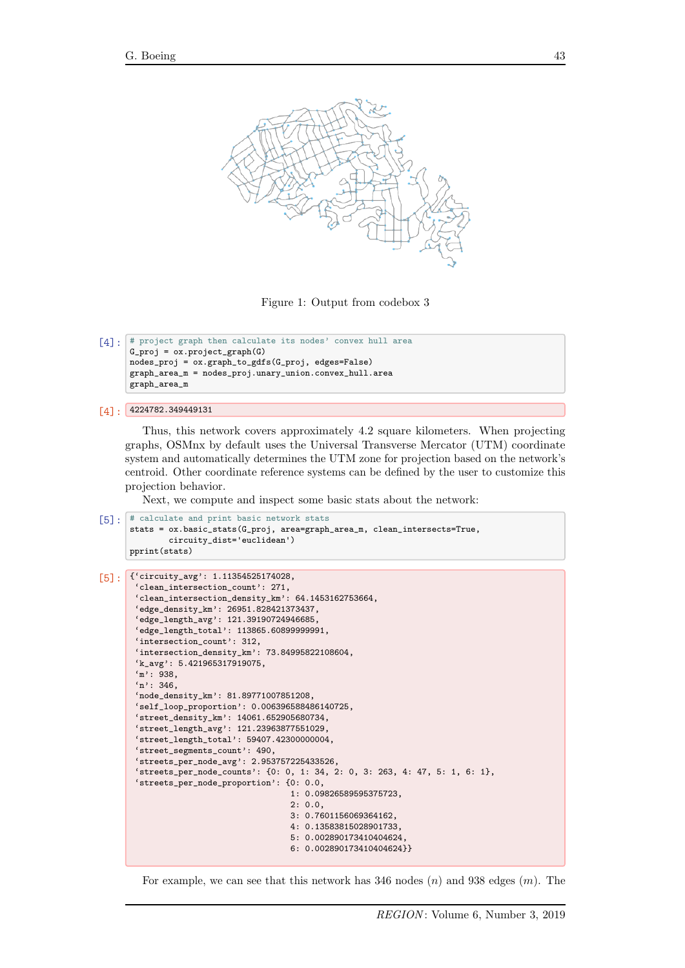<span id="page-4-0"></span>

Figure 1: Output from codebox 3

```
[4]: # project graph then calculate its nodes' convex hull area
      G_{\text{proj}} = \text{ox.project\_graph}(G)nodes_proj = ox.graph_to_gdfs(G_proj, edges=False)
      graph_area_m = nodes_proj.unary_union.convex_hull.area
      graph_area_m
```

```
[4]: 4224782.349449131
```
Thus, this network covers approximately 4.2 square kilometers. When projecting graphs, OSMnx by default uses the Universal Transverse Mercator (UTM) coordinate system and automatically determines the UTM zone for projection based on the network's centroid. Other coordinate reference systems can be defined by the user to customize this projection behavior.

Next, we compute and inspect some basic stats about the network:

```
[5]: # calculate and print basic network stats
      stats = ox.basic_stats(G_proj, area=graph_area_m, clean_intersects=True,
              circuity_dist='euclidean')
      pprint(stats)
```

```
[5]: {'circuity_avg': 1.11354525174028,
       'clean_intersection_count': 271,
       'clean_intersection_density_km': 64.1453162753664,
       'edge_density_km': 26951.828421373437,
       'edge_length_avg': 121.39190724946685,
       'edge_length_total': 113865.60899999991,
       'intersection_count': 312,
       'intersection_density_km': 73.84995822108604,
       'k_avg': 5.421965317919075,
       'm': 938,
       n': 346.
       'node_density_km': 81.89771007851208,
       'self_loop_proportion': 0.006396588486140725,
       'street_density_km': 14061.652905680734,
       'street_length_avg': 121.23963877551029,
       'street_length_total': 59407.42300000004,
       'street_segments_count': 490,
       'streets_per_node_avg': 2.953757225433526,
       'streets_per_node_counts': {0: 0, 1: 34, 2: 0, 3: 263, 4: 47, 5: 1, 6: 1},
       'streets_per_node_proportion': {0: 0.0,
                                        1: 0.09826589595375723,
                                        2: 0.0,3: 0.7601156069364162,
                                        4: 0.13583815028901733,
                                        5: 0.002890173410404624,
                                        6: 0.002890173410404624}}
```
For example, we can see that this network has 346 nodes  $(n)$  and 938 edges  $(m)$ . The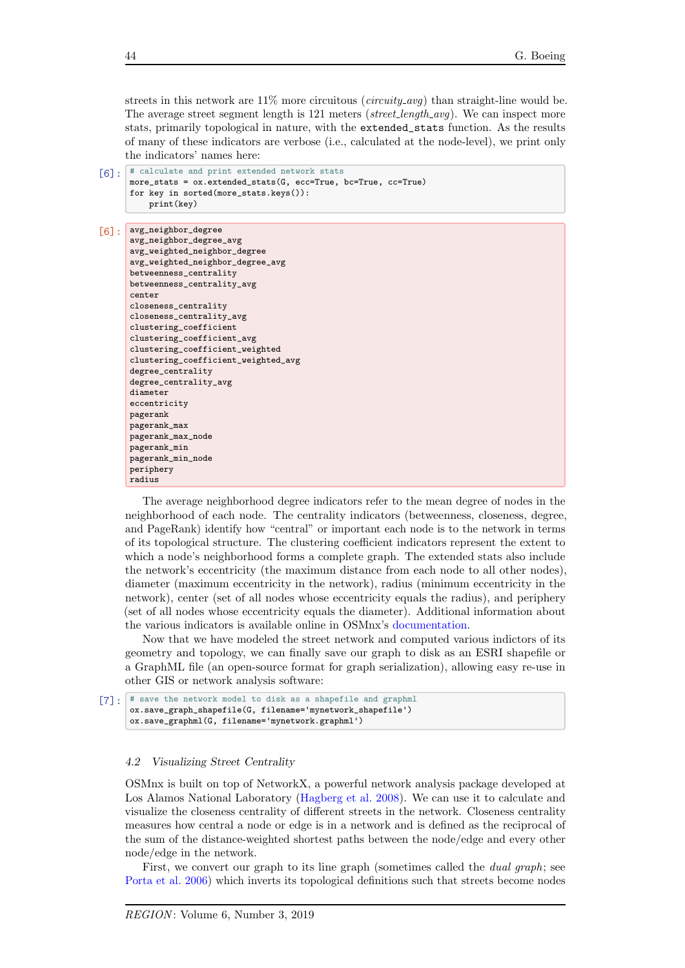streets in this network are  $11\%$  more circuitous (*circuity\_avg*) than straight-line would be. The average street segment length is 121 meters (street\_length\_avg). We can inspect more stats, primarily topological in nature, with the extended\_stats function. As the results of many of these indicators are verbose (i.e., calculated at the node-level), we print only the indicators' names here:

```
[6]: # calculate and print extended network stats
      more_stats = ox.extended_stats(G, ecc=True, bc=True, cc=True)
      for key in sorted(more_stats.keys()):
          print(key)
```

```
[6]: avg_neighbor_degree
```

```
avg_neighbor_degree_avg
avg_weighted_neighbor_degree
avg_weighted_neighbor_degree_avg
betweenness_centrality
betweenness_centrality_avg
center
closeness_centrality
closeness_centrality_avg
clustering_coefficient
clustering_coefficient_avg
clustering coefficient weighted
clustering_coefficient_weighted_avg
degree_centrality
degree_centrality_avg
diameter
eccentricity
pagerank
pagerank_max
pagerank max node
pagerank_min
pagerank_min_node
periphery
radius
```
The average neighborhood degree indicators refer to the mean degree of nodes in the neighborhood of each node. The centrality indicators (betweenness, closeness, degree, and PageRank) identify how "central" or important each node is to the network in terms of its topological structure. The clustering coefficient indicators represent the extent to which a node's neighborhood forms a complete graph. The extended stats also include the network's eccentricity (the maximum distance from each node to all other nodes), diameter (maximum eccentricity in the network), radius (minimum eccentricity in the network), center (set of all nodes whose eccentricity equals the radius), and periphery (set of all nodes whose eccentricity equals the diameter). Additional information about the various indicators is available online in OSMnx's [documentation.](https://osmnx.readthedocs.io/en/stable/osmnx.html#module-osmnx.stats)

Now that we have modeled the street network and computed various indictors of its geometry and topology, we can finally save our graph to disk as an ESRI shapefile or a GraphML file (an open-source format for graph serialization), allowing easy re-use in other GIS or network analysis software:

```
[7]: * save the network model to disk as a shapefile and graphml
      ox.save_graph_shapefile(G, filename='mynetwork_shapefile')
      ox.save_graphml(G, filename='mynetwork.graphml')
```
#### 4.2 Visualizing Street Centrality

OSMnx is built on top of NetworkX, a powerful network analysis package developed at Los Alamos National Laboratory [\(Hagberg et al.](#page-11-13) [2008\)](#page-11-13). We can use it to calculate and visualize the closeness centrality of different streets in the network. Closeness centrality measures how central a node or edge is in a network and is defined as the reciprocal of the sum of the distance-weighted shortest paths between the node/edge and every other node/edge in the network.

First, we convert our graph to its line graph (sometimes called the dual graph; see [Porta et al.](#page-11-14) [2006\)](#page-11-14) which inverts its topological definitions such that streets become nodes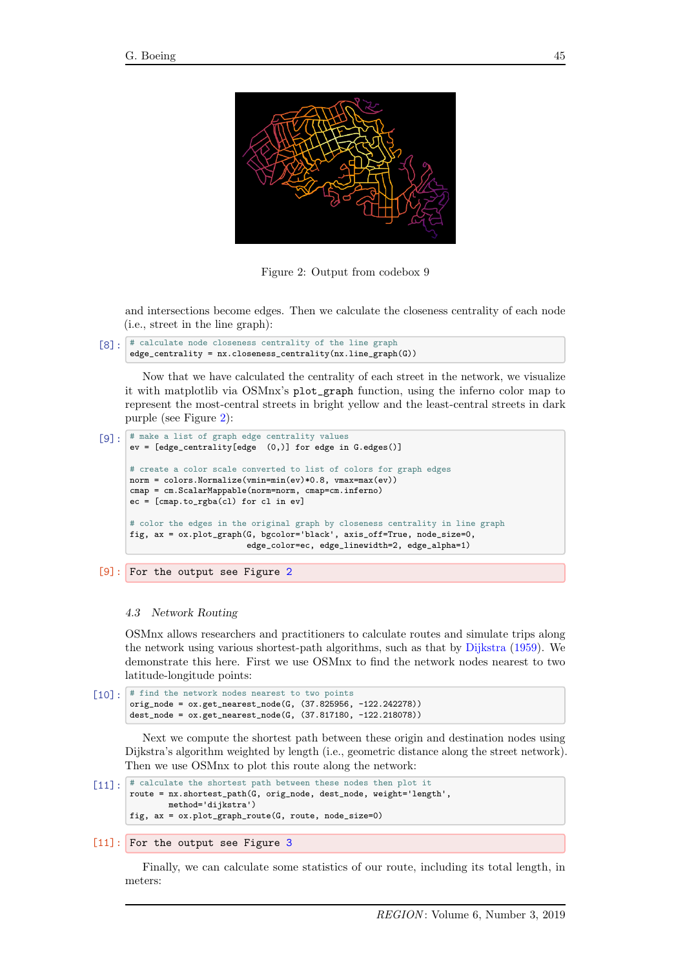<span id="page-6-0"></span>

Figure 2: Output from codebox 9

and intersections become edges. Then we calculate the closeness centrality of each node (i.e., street in the line graph):

```
[8]: # calculate node closeness centrality of the line graph
      edge_centrality = nx.closeness_centrality(nx.line_graph(G))
```
Now that we have calculated the centrality of each street in the network, we visualize it with matplotlib via OSMnx's plot\_graph function, using the inferno color map to represent the most-central streets in bright yellow and the least-central streets in dark purple (see Figure [2\)](#page-6-0):

```
[9]: # make a list of graph edge centrality values
      ev = [edge_centrality[edge (0,)] for edge in G.edges()]
      # create a color scale converted to list of colors for graph edges
      norm = colors.Normalize(vmin=min(ev)*0.8, vmax=max(ev))
      cmap = cm.ScalarMappable(norm=norm, cmap=cm.inferno)
      ec = [cmap.to_rgba(cl) for cl in ev]
      # color the edges in the original graph by closeness centrality in line graph
      fig, ax = ox.plot_graph(G, bgcolor='black', axis_off=True, node_size=0,
                              edge_color=ec, edge_linewidth=2, edge_alpha=1)
```
[9]: For the output see Figure [2](#page-6-0)

#### 4.3 Network Routing

OSMnx allows researchers and practitioners to calculate routes and simulate trips along the network using various shortest-path algorithms, such as that by [Dijkstra](#page-11-15) [\(1959\)](#page-11-15). We demonstrate this here. First we use OSMnx to find the network nodes nearest to two latitude-longitude points:

```
[10]: # find the network nodes nearest to two points
       orig_node = ox.get_nearest_node(G, (37.825956, -122.242278))
       dest_node = ox.get_nearest_node(G, (37.817180, -122.218078))
```
Next we compute the shortest path between these origin and destination nodes using Dijkstra's algorithm weighted by length (i.e., geometric distance along the street network). Then we use OSMnx to plot this route along the network:

```
[11]: # calculate the shortest path between these nodes then plot it
       route = nx.shortest_path(G, orig_node, dest_node, weight='length',
               method='dijkstra')
       fig, ax = ox.plot_graph_route(G, route, node_size=0)
```
## [11]: For the output see Figure [3](#page-7-0)

Finally, we can calculate some statistics of our route, including its total length, in meters: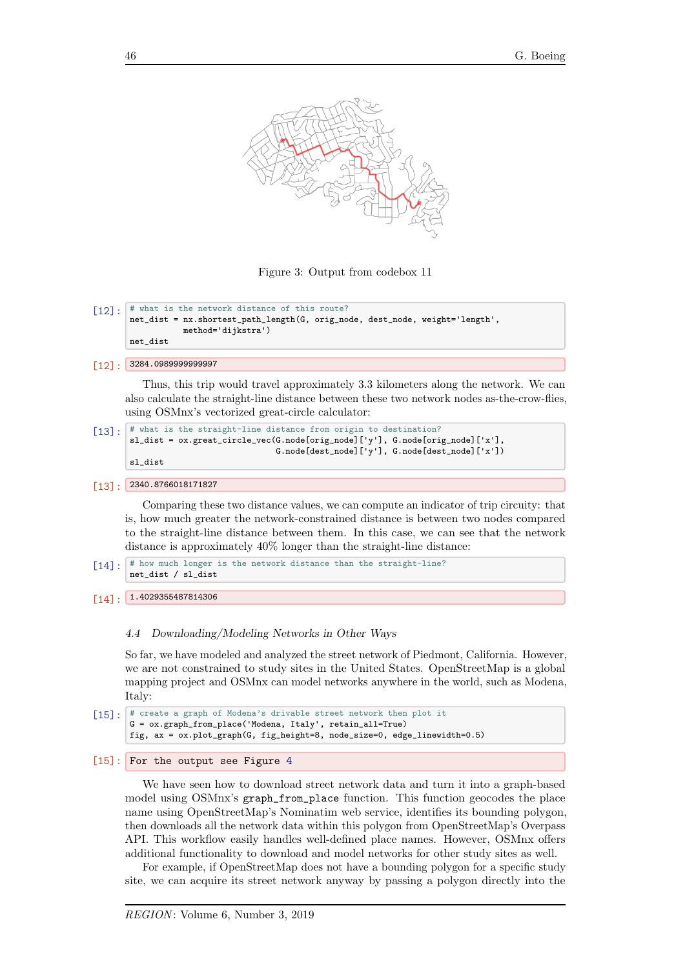<span id="page-7-0"></span>

Figure 3: Output from codebox 11

```
\lceil 12 \rceil: \lceil \frac{4}{7} \rceil what is the network distance of this route?
         net_dist = nx.shortest_path_length(G, orig_node, dest_node, weight='length',
                       method='dijkstra')
         net_dist
```

```
[12]: 3284.0989999999997
```
Thus, this trip would travel approximately 3.3 kilometers along the network. We can also calculate the straight-line distance between these two network nodes as-the-crow-flies, using OSMnx's vectorized great-circle calculator:

```
[13]: \boxed{\phantom{i} # what is the straight-line distance from origin to destination?
        sl_dist = ox.great_circle_vec(G.node[orig_node]['y'], G.node[orig_node]['x'],
                                         G.node[dest_node]['y'], G.node[dest_node]['x'])
        sl_dist
```

```
[13]: 2340.8766018171827
```
Comparing these two distance values, we can compute an indicator of trip circuity: that is, how much greater the network-constrained distance is between two nodes compared to the straight-line distance between them. In this case, we can see that the network distance is approximately 40% longer than the straight-line distance:

 $\lceil 14 \rceil$ :  $\#$  how much longer is the network distance than the straight-line? net\_dist / sl\_dist

```
[14]: 1.4029355487814306
```
#### 4.4 Downloading/Modeling Networks in Other Ways

So far, we have modeled and analyzed the street network of Piedmont, California. However, we are not constrained to study sites in the United States. OpenStreetMap is a global mapping project and OSMnx can model networks anywhere in the world, such as Modena, Italy:

```
[15]: \left| \begin{array}{c} \end{array} \right| # create a graph of Modena's drivable street network then plot it
         G = ox.graph_from_place('Modena, Italy', retain_all=True)
         fig, ax = ox.plot_graph(G, fig_height=8, node_size=0, edge_linewidth=0.5)
```

```
4
```
We have seen how to download street network data and turn it into a graph-based model using OSMnx's graph\_from\_place function. This function geocodes the place name using OpenStreetMap's Nominatim web service, identifies its bounding polygon, then downloads all the network data within this polygon from OpenStreetMap's Overpass API. This workflow easily handles well-defined place names. However, OSMnx offers additional functionality to download and model networks for other study sites as well.

For example, if OpenStreetMap does not have a bounding polygon for a specific study site, we can acquire its street network anyway by passing a polygon directly into the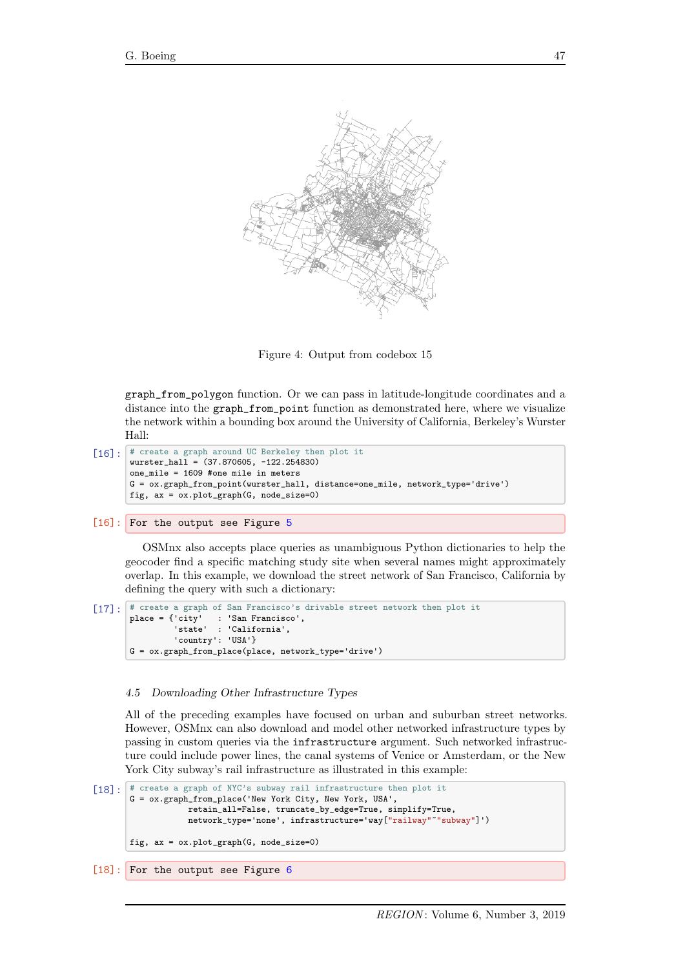<span id="page-8-0"></span>

Figure 4: Output from codebox 15

graph\_from\_polygon function. Or we can pass in latitude-longitude coordinates and a distance into the graph\_from\_point function as demonstrated here, where we visualize the network within a bounding box around the University of California, Berkeley's Wurster Hall:

```
[16]: # create a graph around UC Berkeley then plot it
       wurster_hall = (37.870605, -122.254830)one_mile = 1609 #one mile in meters
       G = ox.graph_from_point(wurster_hall, distance=one_mile, network_type='drive')
       fig, ax = ox.plot_graph(G, node_size=0)
```

```
5
```
OSMnx also accepts place queries as unambiguous Python dictionaries to help the geocoder find a specific matching study site when several names might approximately overlap. In this example, we download the street network of San Francisco, California by defining the query with such a dictionary:

```
[17]: \sharp create a graph of San Francisco's drivable street network then plot it place = {'city' : 'San Francisco',
                              : 'San Francisco',
                    'state' : 'California',
                    'country': 'USA'}
         G = ox.graph_from_place(place, network_type='drive')
```
## 4.5 Downloading Other Infrastructure Types

All of the preceding examples have focused on urban and suburban street networks. However, OSMnx can also download and model other networked infrastructure types by passing in custom queries via the infrastructure argument. Such networked infrastructure could include power lines, the canal systems of Venice or Amsterdam, or the New York City subway's rail infrastructure as illustrated in this example:

```
[18]: # create a graph of NYC's subway rail infrastructure then plot it
       G = ox.graph_from_place('New York City, New York, USA',
                   retain_all=False, truncate_by_edge=True, simplify=True,
                   network_type='none', infrastructure='way["railway"~"subway"]')
       fig, ax = 0x.plot\_graph(G, node_size=0)
```
[18]: For the output see Figure [6](#page-10-0)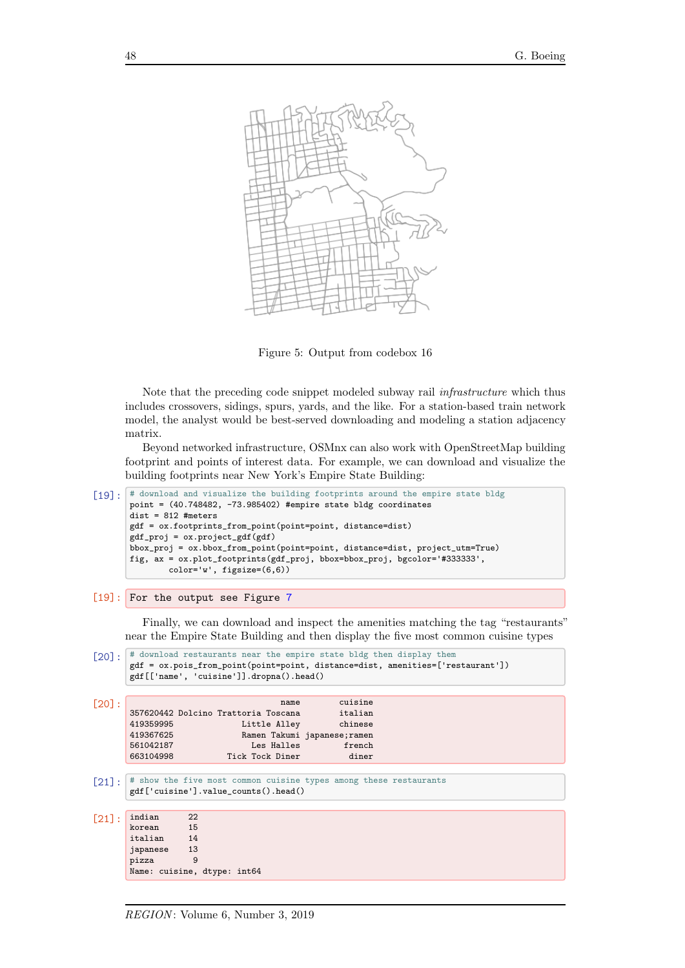<span id="page-9-0"></span>

Figure 5: Output from codebox 16

Note that the preceding code snippet modeled subway rail infrastructure which thus includes crossovers, sidings, spurs, yards, and the like. For a station-based train network model, the analyst would be best-served downloading and modeling a station adjacency matrix.

Beyond networked infrastructure, OSMnx can also work with OpenStreetMap building footprint and points of interest data. For example, we can download and visualize the building footprints near New York's Empire State Building:

```
[19]: \# download and visualize the building footprints around the empire state bldg
       point = (40.748482, -73.985402) #empire state bldg coordinates
       dist = 812 #meters
       gdf = ox.footprints_from_point(point=point, distance=dist)
       gdf_proj = ox.project_gdf(gdf)
       bbox_proj = ox.bbox_from_point(point=point, distance=dist, project_utm=True)
       fig, ax = ox.plot_footprints(gdf_proj, bbox=bbox_proj, bgcolor='#333333',
               color='w', figsize=(6,6))
```

```
7
```
Finally, we can download and inspect the amenities matching the tag "restaurants" near the Empire State Building and then display the five most common cuisine types

```
[20]: # download restaurants near the empire state bldg then display them
       gdf = ox.pois_from_point(point=point, distance=dist, amenities=['restaurant'])
       gdf[['name', 'cuisine']].dropna().head()
[20]: name cuisine
357620442 Dolcino Trattoria Toscana italian
       419359995 Little Alley chinese
       419367625 Ramen Takumi japanese;ramen
       561042187 Les Halles french<br>663104998 Tick Tock Diner diner
                          Tick Tock Diner diner
[21]: \# show the five most common cuisine types among these restaurants
       gdf['cuisine'].value_counts().head()
[21]: indian 22<br>korean 15
       korean 15<br>italian 14
       italian
       japanese 13
       pizza 9
       Name: cuisine, dtype: int64
```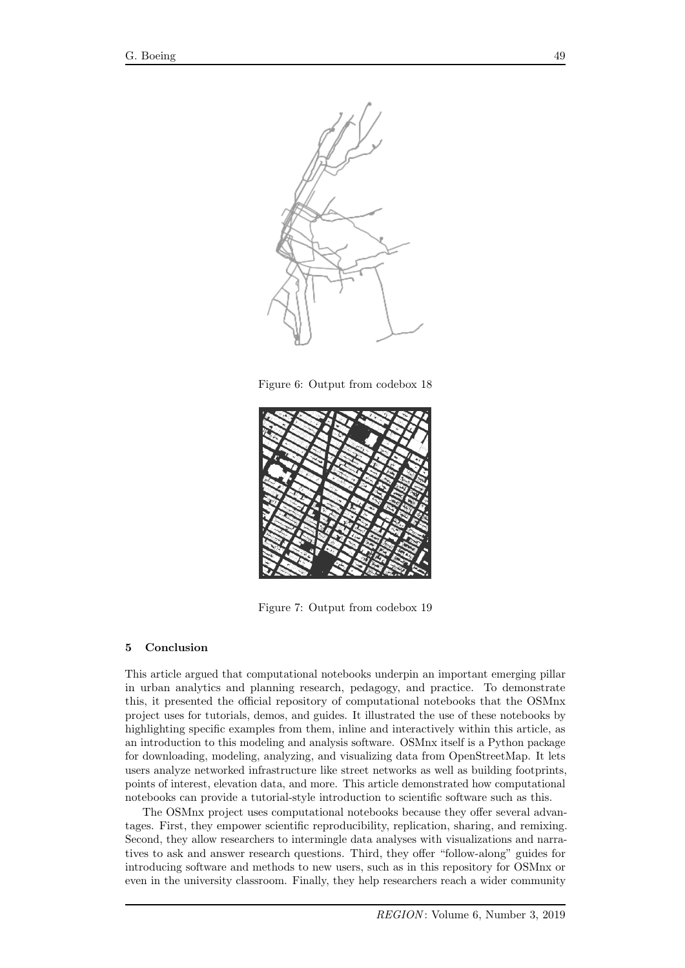<span id="page-10-0"></span>

Figure 6: Output from codebox 18

<span id="page-10-1"></span>

Figure 7: Output from codebox 19

## 5 Conclusion

This article argued that computational notebooks underpin an important emerging pillar in urban analytics and planning research, pedagogy, and practice. To demonstrate this, it presented the official repository of computational notebooks that the OSMnx project uses for tutorials, demos, and guides. It illustrated the use of these notebooks by highlighting specific examples from them, inline and interactively within this article, as an introduction to this modeling and analysis software. OSMnx itself is a Python package for downloading, modeling, analyzing, and visualizing data from OpenStreetMap. It lets users analyze networked infrastructure like street networks as well as building footprints, points of interest, elevation data, and more. This article demonstrated how computational notebooks can provide a tutorial-style introduction to scientific software such as this.

The OSMnx project uses computational notebooks because they offer several advantages. First, they empower scientific reproducibility, replication, sharing, and remixing. Second, they allow researchers to intermingle data analyses with visualizations and narratives to ask and answer research questions. Third, they offer "follow-along" guides for introducing software and methods to new users, such as in this repository for OSMnx or even in the university classroom. Finally, they help researchers reach a wider community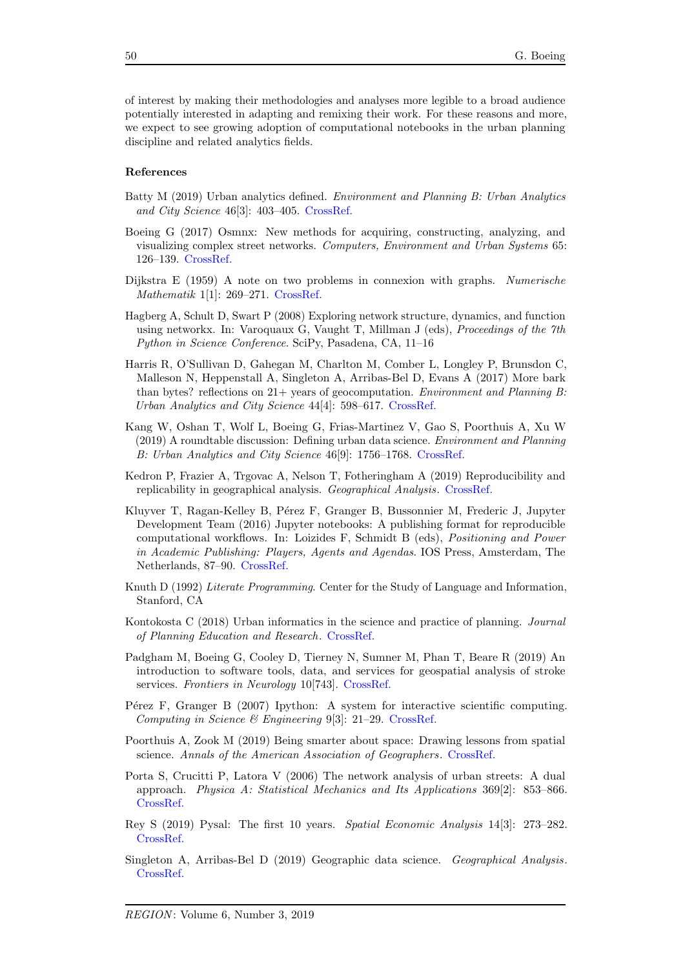of interest by making their methodologies and analyses more legible to a broad audience potentially interested in adapting and remixing their work. For these reasons and more, we expect to see growing adoption of computational notebooks in the urban planning discipline and related analytics fields.

#### References

- <span id="page-11-11"></span>Batty M (2019) Urban analytics defined. Environment and Planning B: Urban Analytics and City Science 46[3]: 403–405. [CrossRef.](https://doi.org/10.1177/2399808319839494)
- <span id="page-11-12"></span>Boeing G (2017) Osmnx: New methods for acquiring, constructing, analyzing, and visualizing complex street networks. Computers, Environment and Urban Systems 65: 126–139. [CrossRef.](https://doi.org/10.1016/j.compenvurbsys.2017.05.004)
- <span id="page-11-15"></span>Dijkstra E (1959) A note on two problems in connexion with graphs. Numerische Mathematik 1[1]: 269–271. [CrossRef.](https://doi.org/10.1007/BF01386390)
- <span id="page-11-13"></span>Hagberg A, Schult D, Swart P (2008) Exploring network structure, dynamics, and function using networkx. In: Varoquaux G, Vaught T, Millman J (eds), Proceedings of the 7th Python in Science Conference. SciPy, Pasadena, CA, 11–16
- <span id="page-11-4"></span>Harris R, O'Sullivan D, Gahegan M, Charlton M, Comber L, Longley P, Brunsdon C, Malleson N, Heppenstall A, Singleton A, Arribas-Bel D, Evans A (2017) More bark than bytes? reflections on  $21+$  years of geocomputation. *Environment and Planning B*: Urban Analytics and City Science 44[4]: 598–617. [CrossRef.](https://doi.org/10.1177/2399808317710132)
- <span id="page-11-5"></span>Kang W, Oshan T, Wolf L, Boeing G, Frias-Martinez V, Gao S, Poorthuis A, Xu W (2019) A roundtable discussion: Defining urban data science. Environment and Planning B: Urban Analytics and City Science 46[9]: 1756–1768. [CrossRef.](https://doi.org/10.1177/2399808319882826)
- <span id="page-11-9"></span>Kedron P, Frazier A, Trgovac A, Nelson T, Fotheringham A (2019) Reproducibility and replicability in geographical analysis. Geographical Analysis. [CrossRef.](https://doi.org/10.1111/gean.12221)
- <span id="page-11-3"></span>Kluyver T, Ragan-Kelley B, Pérez F, Granger B, Bussonnier M, Frederic J, Jupyter Development Team (2016) Jupyter notebooks: A publishing format for reproducible computational workflows. In: Loizides F, Schmidt B (eds), Positioning and Power in Academic Publishing: Players, Agents and Agendas. IOS Press, Amsterdam, The Netherlands, 87–90. [CrossRef.](https://doi.org/10.3233/978-1-61499-649-1-87)
- <span id="page-11-1"></span>Knuth D (1992) Literate Programming. Center for the Study of Language and Information, Stanford, CA
- <span id="page-11-10"></span>Kontokosta C (2018) Urban informatics in the science and practice of planning. Journal of Planning Education and Research. [CrossRef.](https://doi.org/10.1177/0739456X18793716)
- <span id="page-11-0"></span>Padgham M, Boeing G, Cooley D, Tierney N, Sumner M, Phan T, Beare R (2019) An introduction to software tools, data, and services for geospatial analysis of stroke services. Frontiers in Neurology 10[743]. [CrossRef.](https://doi.org/10.3389/fneur.2019.00743)
- <span id="page-11-2"></span>P $\acute{e}$ rez F, Granger B (2007) Ipython: A system for interactive scientific computing. Computing in Science & Engineering 9[3]: 21–29. [CrossRef.](https://doi.org/10.1109/MCSE.2007.53)
- <span id="page-11-6"></span>Poorthuis A, Zook M (2019) Being smarter about space: Drawing lessons from spatial science. Annals of the American Association of Geographers. [CrossRef.](https://doi.org/10.1080/24694452.2019.1674630)
- <span id="page-11-14"></span>Porta S, Crucitti P, Latora V (2006) The network analysis of urban streets: A dual approach. Physica A: Statistical Mechanics and Its Applications 369[2]: 853–866. [CrossRef.](https://doi.org/10.1016/j.physa.2005.12.063)
- <span id="page-11-8"></span>Rey S (2019) Pysal: The first 10 years. Spatial Economic Analysis 14[3]: 273–282. [CrossRef.](https://doi.org/10.1080/17421772.2019.1593495)
- <span id="page-11-7"></span>Singleton A, Arribas-Bel D (2019) Geographic data science. Geographical Analysis. [CrossRef.](https://doi.org/10.1111/gean.12194)